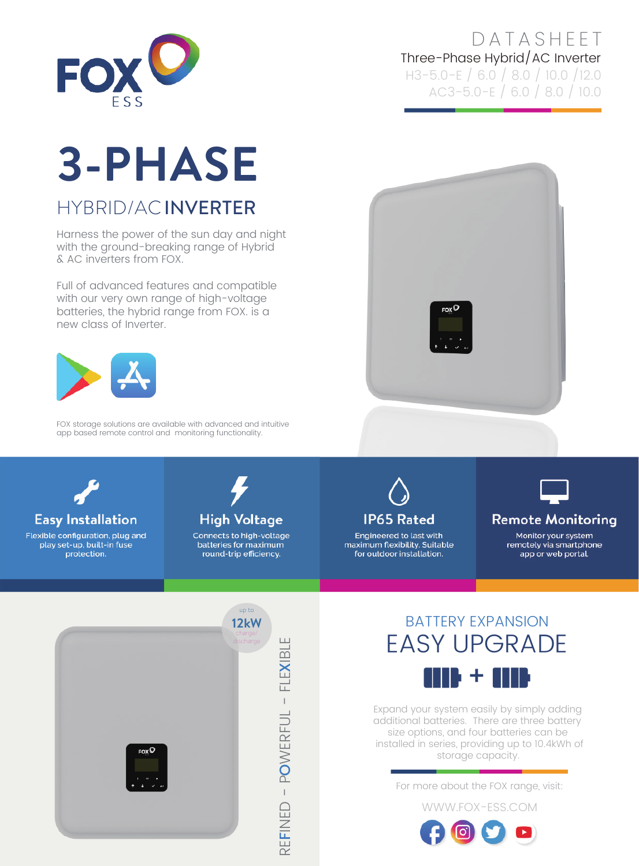

#### **DATASHEET** Three-Phase Hybrid/AC Inverter H3-5.0-E / 6.0 / 8.0 / 10.0 /12.0 AC3-5.0-E / 6.0 / 8.0 / 10.0

# **3-PHASE**

## HYBRID/AC INVERTER

Harness the power of the sun day and night with the ground-breaking range of Hybrid & AC inverters from FOX.

Full of advanced features and compatible with our very own range of high-voltage batteries, the hybrid range from FOX. is a new class of Inverter.



FOX storage solutions are available with advanced and intuitive app based remote control and monitoring functionality.





### **Easy Installation**

Flexible configuration, plug and play set-up, built-in fuse protection.



Connects to high-voltage batteries for maximum round-trip efficiency.



Engineered to last with maximum flexibility. Suitable for outdoor installation.



#### **Remote Monitoring**

Monitor your system remotely via smartphone app or web portal.



## BATTERY EXPANSION EASY UPGRADE 116 + 11

Expand your system easily by simply adding additional batteries. There are three battery size options, and four batteries can be installed in series, providing up to 10.4kWh of storage capacity.

For more about the FOX range, visit:

WWW.FOX-ESS.COM